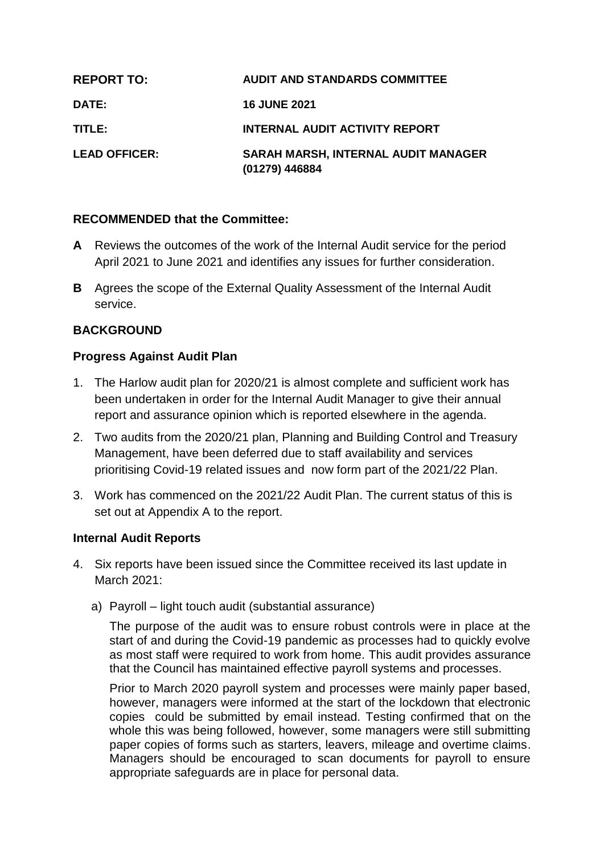| <b>REPORT TO:</b>    | <b>AUDIT AND STANDARDS COMMITTEE</b>                  |
|----------------------|-------------------------------------------------------|
| <b>DATE:</b>         | <b>16 JUNE 2021</b>                                   |
| TITLE: I             | <b>INTERNAL AUDIT ACTIVITY REPORT</b>                 |
| <b>LEAD OFFICER:</b> | SARAH MARSH, INTERNAL AUDIT MANAGER<br>(01279) 446884 |

### **RECOMMENDED that the Committee:**

- **A** Reviews the outcomes of the work of the Internal Audit service for the period April 2021 to June 2021 and identifies any issues for further consideration.
- **B** Agrees the scope of the External Quality Assessment of the Internal Audit service.

## **BACKGROUND**

### **Progress Against Audit Plan**

- 1. The Harlow audit plan for 2020/21 is almost complete and sufficient work has been undertaken in order for the Internal Audit Manager to give their annual report and assurance opinion which is reported elsewhere in the agenda.
- 2. Two audits from the 2020/21 plan, Planning and Building Control and Treasury Management, have been deferred due to staff availability and services prioritising Covid-19 related issues and now form part of the 2021/22 Plan.
- 3. Work has commenced on the 2021/22 Audit Plan. The current status of this is set out at Appendix A to the report.

### **Internal Audit Reports**

- 4. Six reports have been issued since the Committee received its last update in March 2021:
	- a) Payroll light touch audit (substantial assurance)

The purpose of the audit was to ensure robust controls were in place at the start of and during the Covid-19 pandemic as processes had to quickly evolve as most staff were required to work from home. This audit provides assurance that the Council has maintained effective payroll systems and processes.

Prior to March 2020 payroll system and processes were mainly paper based, however, managers were informed at the start of the lockdown that electronic copies could be submitted by email instead. Testing confirmed that on the whole this was being followed, however, some managers were still submitting paper copies of forms such as starters, leavers, mileage and overtime claims. Managers should be encouraged to scan documents for payroll to ensure appropriate safeguards are in place for personal data.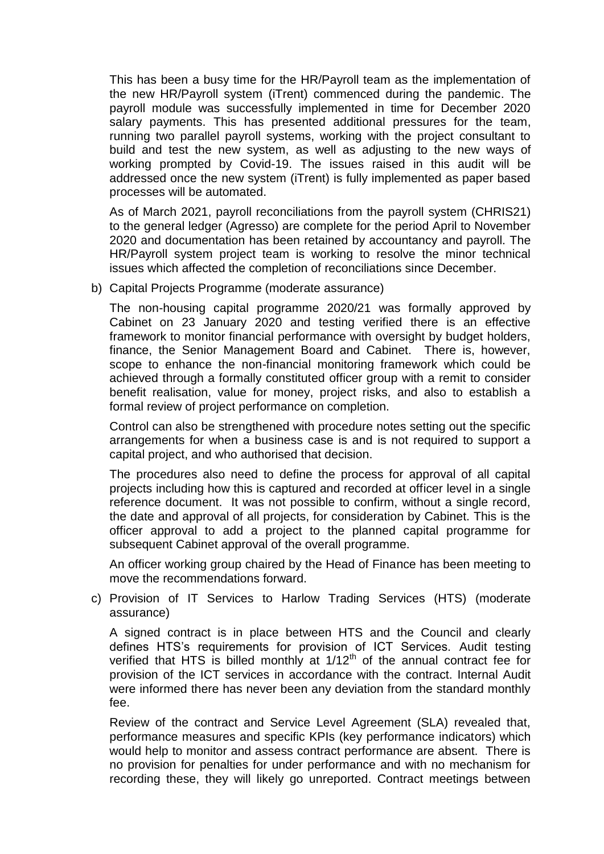This has been a busy time for the HR/Payroll team as the implementation of the new HR/Payroll system (iTrent) commenced during the pandemic. The payroll module was successfully implemented in time for December 2020 salary payments. This has presented additional pressures for the team, running two parallel payroll systems, working with the project consultant to build and test the new system, as well as adjusting to the new ways of working prompted by Covid-19. The issues raised in this audit will be addressed once the new system (iTrent) is fully implemented as paper based processes will be automated.

As of March 2021, payroll reconciliations from the payroll system (CHRIS21) to the general ledger (Agresso) are complete for the period April to November 2020 and documentation has been retained by accountancy and payroll. The HR/Payroll system project team is working to resolve the minor technical issues which affected the completion of reconciliations since December.

b) Capital Projects Programme (moderate assurance)

The non-housing capital programme 2020/21 was formally approved by Cabinet on 23 January 2020 and testing verified there is an effective framework to monitor financial performance with oversight by budget holders, finance, the Senior Management Board and Cabinet. There is, however, scope to enhance the non-financial monitoring framework which could be achieved through a formally constituted officer group with a remit to consider benefit realisation, value for money, project risks, and also to establish a formal review of project performance on completion.

Control can also be strengthened with procedure notes setting out the specific arrangements for when a business case is and is not required to support a capital project, and who authorised that decision.

The procedures also need to define the process for approval of all capital projects including how this is captured and recorded at officer level in a single reference document. It was not possible to confirm, without a single record, the date and approval of all projects, for consideration by Cabinet. This is the officer approval to add a project to the planned capital programme for subsequent Cabinet approval of the overall programme.

An officer working group chaired by the Head of Finance has been meeting to move the recommendations forward.

c) Provision of IT Services to Harlow Trading Services (HTS) (moderate assurance)

A signed contract is in place between HTS and the Council and clearly defines HTS's requirements for provision of ICT Services. Audit testing verified that HTS is billed monthly at  $1/12<sup>th</sup>$  of the annual contract fee for provision of the ICT services in accordance with the contract. Internal Audit were informed there has never been any deviation from the standard monthly fee.

Review of the contract and Service Level Agreement (SLA) revealed that, performance measures and specific KPIs (key performance indicators) which would help to monitor and assess contract performance are absent. There is no provision for penalties for under performance and with no mechanism for recording these, they will likely go unreported. Contract meetings between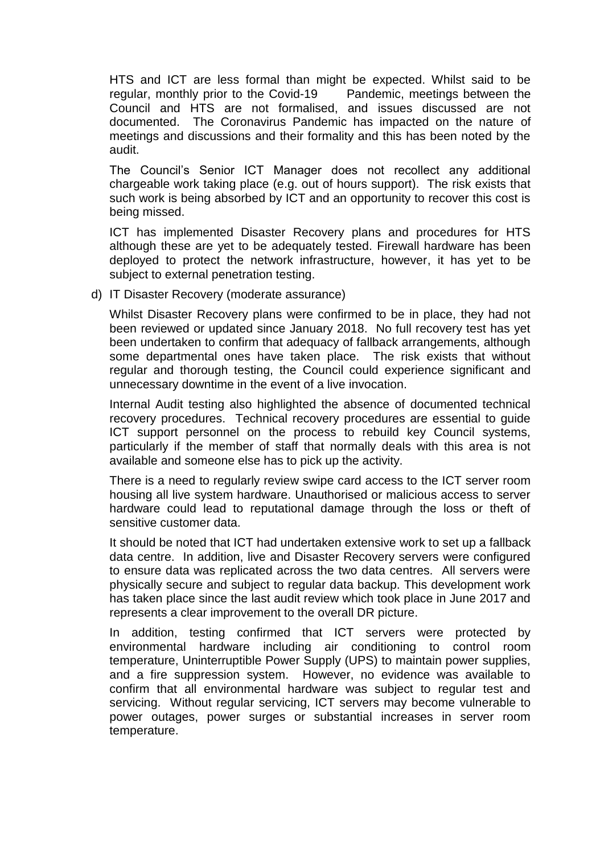HTS and ICT are less formal than might be expected. Whilst said to be regular, monthly prior to the Covid-19 Pandemic, meetings between the Council and HTS are not formalised, and issues discussed are not documented. The Coronavirus Pandemic has impacted on the nature of meetings and discussions and their formality and this has been noted by the audit.

The Council's Senior ICT Manager does not recollect any additional chargeable work taking place (e.g. out of hours support). The risk exists that such work is being absorbed by ICT and an opportunity to recover this cost is being missed.

ICT has implemented Disaster Recovery plans and procedures for HTS although these are yet to be adequately tested. Firewall hardware has been deployed to protect the network infrastructure, however, it has yet to be subject to external penetration testing.

d) IT Disaster Recovery (moderate assurance)

Whilst Disaster Recovery plans were confirmed to be in place, they had not been reviewed or updated since January 2018. No full recovery test has yet been undertaken to confirm that adequacy of fallback arrangements, although some departmental ones have taken place. The risk exists that without regular and thorough testing, the Council could experience significant and unnecessary downtime in the event of a live invocation.

Internal Audit testing also highlighted the absence of documented technical recovery procedures. Technical recovery procedures are essential to guide ICT support personnel on the process to rebuild key Council systems, particularly if the member of staff that normally deals with this area is not available and someone else has to pick up the activity.

There is a need to regularly review swipe card access to the ICT server room housing all live system hardware. Unauthorised or malicious access to server hardware could lead to reputational damage through the loss or theft of sensitive customer data.

It should be noted that ICT had undertaken extensive work to set up a fallback data centre. In addition, live and Disaster Recovery servers were configured to ensure data was replicated across the two data centres. All servers were physically secure and subject to regular data backup. This development work has taken place since the last audit review which took place in June 2017 and represents a clear improvement to the overall DR picture.

In addition, testing confirmed that ICT servers were protected by environmental hardware including air conditioning to control room temperature, Uninterruptible Power Supply (UPS) to maintain power supplies, and a fire suppression system. However, no evidence was available to confirm that all environmental hardware was subject to regular test and servicing. Without regular servicing, ICT servers may become vulnerable to power outages, power surges or substantial increases in server room temperature.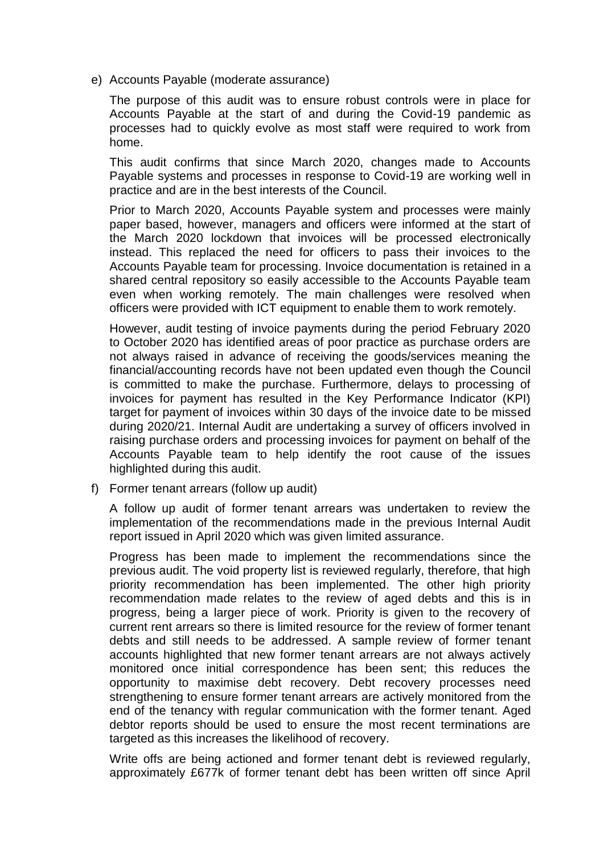e) Accounts Payable (moderate assurance)

The purpose of this audit was to ensure robust controls were in place for Accounts Payable at the start of and during the Covid-19 pandemic as processes had to quickly evolve as most staff were required to work from home.

This audit confirms that since March 2020, changes made to Accounts Payable systems and processes in response to Covid-19 are working well in practice and are in the best interests of the Council.

Prior to March 2020, Accounts Payable system and processes were mainly paper based, however, managers and officers were informed at the start of the March 2020 lockdown that invoices will be processed electronically instead. This replaced the need for officers to pass their invoices to the Accounts Payable team for processing. Invoice documentation is retained in a shared central repository so easily accessible to the Accounts Payable team even when working remotely. The main challenges were resolved when officers were provided with ICT equipment to enable them to work remotely.

However, audit testing of invoice payments during the period February 2020 to October 2020 has identified areas of poor practice as purchase orders are not always raised in advance of receiving the goods/services meaning the financial/accounting records have not been updated even though the Council is committed to make the purchase. Furthermore, delays to processing of invoices for payment has resulted in the Key Performance Indicator (KPI) target for payment of invoices within 30 days of the invoice date to be missed during 2020/21. Internal Audit are undertaking a survey of officers involved in raising purchase orders and processing invoices for payment on behalf of the Accounts Payable team to help identify the root cause of the issues highlighted during this audit.

f) Former tenant arrears (follow up audit)

A follow up audit of former tenant arrears was undertaken to review the implementation of the recommendations made in the previous Internal Audit report issued in April 2020 which was given limited assurance.

Progress has been made to implement the recommendations since the previous audit. The void property list is reviewed regularly, therefore, that high priority recommendation has been implemented. The other high priority recommendation made relates to the review of aged debts and this is in progress, being a larger piece of work. Priority is given to the recovery of current rent arrears so there is limited resource for the review of former tenant debts and still needs to be addressed. A sample review of former tenant accounts highlighted that new former tenant arrears are not always actively monitored once initial correspondence has been sent; this reduces the opportunity to maximise debt recovery. Debt recovery processes need strengthening to ensure former tenant arrears are actively monitored from the end of the tenancy with regular communication with the former tenant. Aged debtor reports should be used to ensure the most recent terminations are targeted as this increases the likelihood of recovery.

Write offs are being actioned and former tenant debt is reviewed regularly, approximately £677k of former tenant debt has been written off since April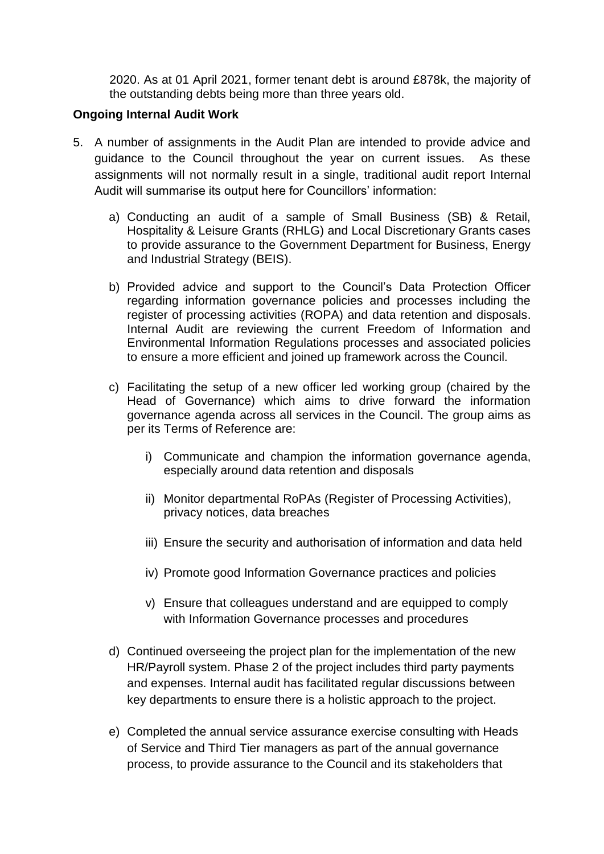2020. As at 01 April 2021, former tenant debt is around £878k, the majority of the outstanding debts being more than three years old.

### **Ongoing Internal Audit Work**

- 5. A number of assignments in the Audit Plan are intended to provide advice and guidance to the Council throughout the year on current issues. As these assignments will not normally result in a single, traditional audit report Internal Audit will summarise its output here for Councillors' information:
	- a) Conducting an audit of a sample of Small Business (SB) & Retail, Hospitality & Leisure Grants (RHLG) and Local Discretionary Grants cases to provide assurance to the Government Department for Business, Energy and Industrial Strategy (BEIS).
	- b) Provided advice and support to the Council's Data Protection Officer regarding information governance policies and processes including the register of processing activities (ROPA) and data retention and disposals. Internal Audit are reviewing the current Freedom of Information and Environmental Information Regulations processes and associated policies to ensure a more efficient and joined up framework across the Council.
	- c) Facilitating the setup of a new officer led working group (chaired by the Head of Governance) which aims to drive forward the information governance agenda across all services in the Council. The group aims as per its Terms of Reference are:
		- i) Communicate and champion the information governance agenda, especially around data retention and disposals
		- ii) Monitor departmental RoPAs (Register of Processing Activities), privacy notices, data breaches
		- iii) Ensure the security and authorisation of information and data held
		- iv) Promote good Information Governance practices and policies
		- v) Ensure that colleagues understand and are equipped to comply with Information Governance processes and procedures
	- d) Continued overseeing the project plan for the implementation of the new HR/Payroll system. Phase 2 of the project includes third party payments and expenses. Internal audit has facilitated regular discussions between key departments to ensure there is a holistic approach to the project.
	- e) Completed the annual service assurance exercise consulting with Heads of Service and Third Tier managers as part of the annual governance process, to provide assurance to the Council and its stakeholders that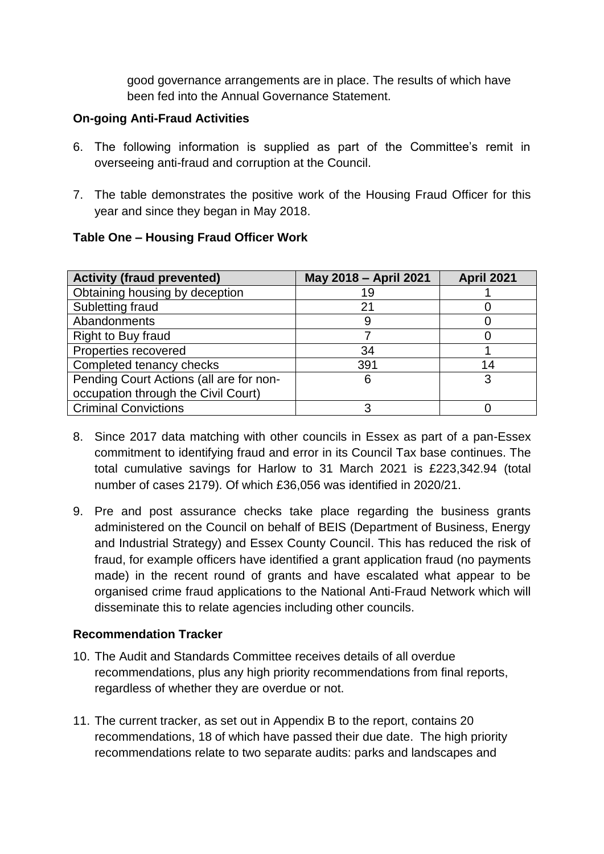good governance arrangements are in place. The results of which have been fed into the Annual Governance Statement.

### **On-going Anti-Fraud Activities**

- 6. The following information is supplied as part of the Committee's remit in overseeing anti-fraud and corruption at the Council.
- 7. The table demonstrates the positive work of the Housing Fraud Officer for this year and since they began in May 2018.

## **Table One – Housing Fraud Officer Work**

| <b>Activity (fraud prevented)</b>       | May 2018 - April 2021 | <b>April 2021</b> |
|-----------------------------------------|-----------------------|-------------------|
| Obtaining housing by deception          | 19                    |                   |
| Subletting fraud                        | 21                    |                   |
| Abandonments                            | 9                     |                   |
| Right to Buy fraud                      |                       |                   |
| Properties recovered                    | 34                    |                   |
| Completed tenancy checks                | 391                   | 14                |
| Pending Court Actions (all are for non- | 6                     | 3                 |
| occupation through the Civil Court)     |                       |                   |
| <b>Criminal Convictions</b>             |                       |                   |

- 8. Since 2017 data matching with other councils in Essex as part of a pan-Essex commitment to identifying fraud and error in its Council Tax base continues. The total cumulative savings for Harlow to 31 March 2021 is £223,342.94 (total number of cases 2179). Of which £36,056 was identified in 2020/21.
- 9. Pre and post assurance checks take place regarding the business grants administered on the Council on behalf of BEIS (Department of Business, Energy and Industrial Strategy) and Essex County Council. This has reduced the risk of fraud, for example officers have identified a grant application fraud (no payments made) in the recent round of grants and have escalated what appear to be organised crime fraud applications to the National Anti-Fraud Network which will disseminate this to relate agencies including other councils.

## **Recommendation Tracker**

- 10. The Audit and Standards Committee receives details of all overdue recommendations, plus any high priority recommendations from final reports, regardless of whether they are overdue or not.
- 11. The current tracker, as set out in Appendix B to the report, contains 20 recommendations, 18 of which have passed their due date. The high priority recommendations relate to two separate audits: parks and landscapes and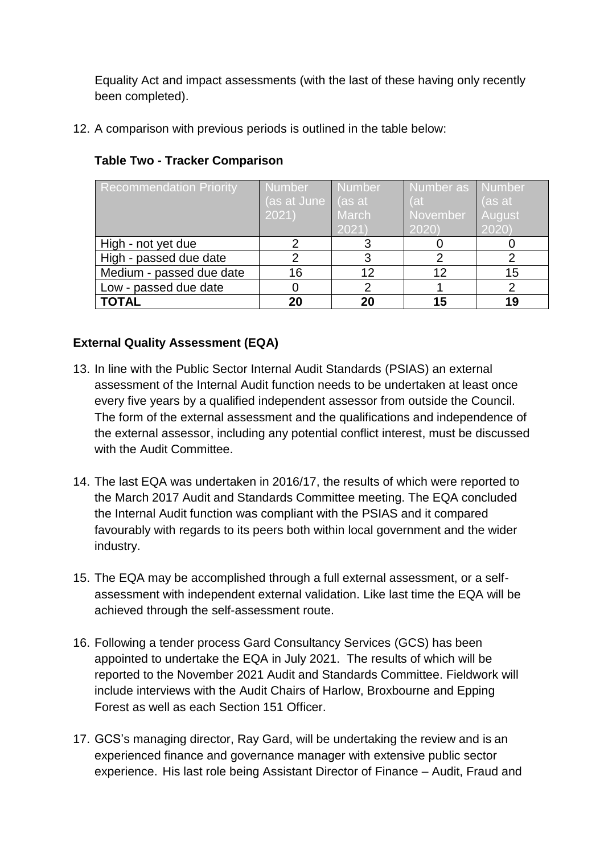Equality Act and impact assessments (with the last of these having only recently been completed).

12. A comparison with previous periods is outlined in the table below:

| <b>Recommendation Priority</b> | <b>Number</b>              | <b>Number</b> | Number as Number |               |
|--------------------------------|----------------------------|---------------|------------------|---------------|
|                                |                            |               |                  |               |
|                                | (as at June $\vert$ (as at |               | Vat              | (as at        |
|                                | 2021)                      | March         | November         | <b>August</b> |
|                                |                            | 2021)         | 2020             | 2020          |
| High - not yet due             |                            |               |                  |               |
| High - passed due date         |                            | 3             |                  |               |
| Medium - passed due date       | 16                         | 12            | 12               | 15            |
| Low - passed due date          |                            |               |                  |               |
| <b>TOTAL</b>                   | 20                         | 20            | 15               | 19            |

## **Table Two - Tracker Comparison**

# **External Quality Assessment (EQA)**

- 13. In line with the Public Sector Internal Audit Standards (PSIAS) an external assessment of the Internal Audit function needs to be undertaken at least once every five years by a qualified independent assessor from outside the Council. The form of the external assessment and the qualifications and independence of the external assessor, including any potential conflict interest, must be discussed with the Audit Committee.
- 14. The last EQA was undertaken in 2016/17, the results of which were reported to the March 2017 Audit and Standards Committee meeting. The EQA concluded the Internal Audit function was compliant with the PSIAS and it compared favourably with regards to its peers both within local government and the wider industry.
- 15. The EQA may be accomplished through a full external assessment, or a selfassessment with independent external validation. Like last time the EQA will be achieved through the self-assessment route.
- 16. Following a tender process Gard Consultancy Services (GCS) has been appointed to undertake the EQA in July 2021. The results of which will be reported to the November 2021 Audit and Standards Committee. Fieldwork will include interviews with the Audit Chairs of Harlow, Broxbourne and Epping Forest as well as each Section 151 Officer.
- 17. GCS's managing director, Ray Gard, will be undertaking the review and is an experienced finance and governance manager with extensive public sector experience. His last role being Assistant Director of Finance – Audit, Fraud and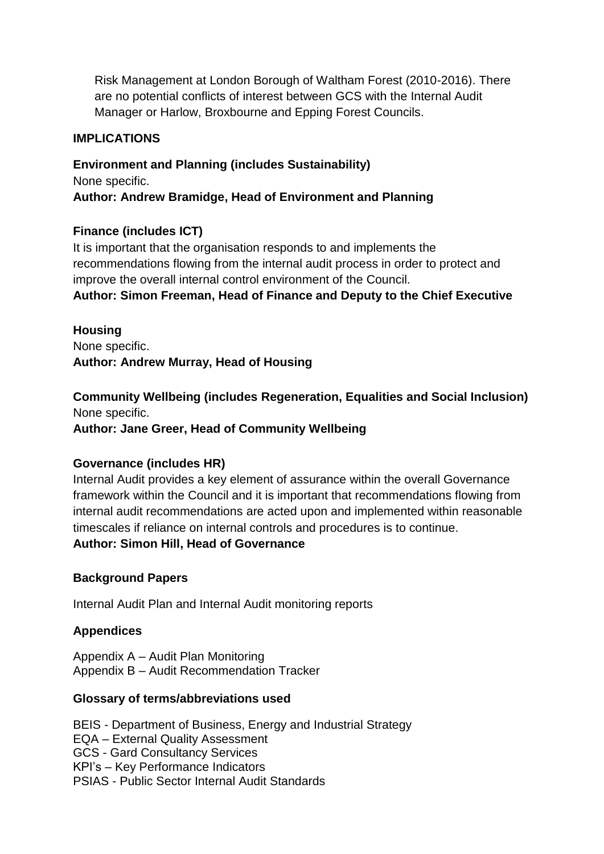Risk Management at London Borough of Waltham Forest (2010-2016). There are no potential conflicts of interest between GCS with the Internal Audit Manager or Harlow, Broxbourne and Epping Forest Councils.

### **IMPLICATIONS**

**Environment and Planning (includes Sustainability)** None specific. **Author: Andrew Bramidge, Head of Environment and Planning**

### **Finance (includes ICT)**

It is important that the organisation responds to and implements the recommendations flowing from the internal audit process in order to protect and improve the overall internal control environment of the Council.

**Author: Simon Freeman, Head of Finance and Deputy to the Chief Executive**

**Housing** None specific. **Author: Andrew Murray, Head of Housing**

**Community Wellbeing (includes Regeneration, Equalities and Social Inclusion)** None specific.

**Author: Jane Greer, Head of Community Wellbeing**

### **Governance (includes HR)**

Internal Audit provides a key element of assurance within the overall Governance framework within the Council and it is important that recommendations flowing from internal audit recommendations are acted upon and implemented within reasonable timescales if reliance on internal controls and procedures is to continue.

### **Author: Simon Hill, Head of Governance**

### **Background Papers**

Internal Audit Plan and Internal Audit monitoring reports

## **Appendices**

Appendix A – Audit Plan Monitoring Appendix B – Audit Recommendation Tracker

### **Glossary of terms/abbreviations used**

BEIS - Department of Business, Energy and Industrial Strategy EQA – External Quality Assessment GCS - Gard Consultancy Services KPI's – Key Performance Indicators PSIAS - Public Sector Internal Audit Standards